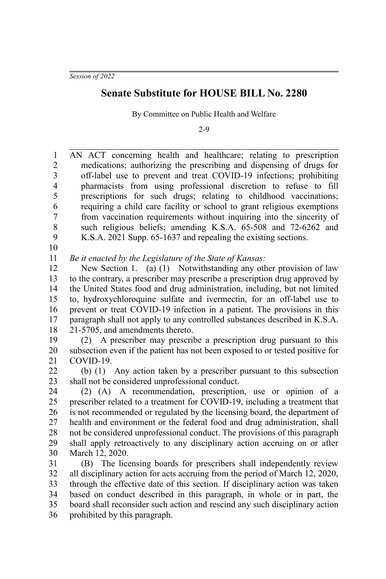*Session of 2022*

## **Senate Substitute for HOUSE BILL No. 2280**

By Committee on Public Health and Welfare

2-9

AN ACT concerning health and healthcare; relating to prescription medications; authorizing the prescribing and dispensing of drugs for off-label use to prevent and treat COVID-19 infections; prohibiting pharmacists from using professional discretion to refuse to fill prescriptions for such drugs; relating to childhood vaccinations; requiring a child care facility or school to grant religious exemptions from vaccination requirements without inquiring into the sincerity of such religious beliefs; amending K.S.A. 65-508 and 72-6262 and K.S.A. 2021 Supp. 65-1637 and repealing the existing sections. 1 2 3 4 5 6 7 8 9

10

*Be it enacted by the Legislature of the State of Kansas:* 11

New Section 1. (a) (1) Notwithstanding any other provision of law to the contrary, a prescriber may prescribe a prescription drug approved by the United States food and drug administration, including, but not limited to, hydroxychloroquine sulfate and ivermectin, for an off-label use to prevent or treat COVID-19 infection in a patient. The provisions in this paragraph shall not apply to any controlled substances described in K.S.A. 21-5705, and amendments thereto. 12 13 14 15 16 17 18

(2) A prescriber may prescribe a prescription drug pursuant to this subsection even if the patient has not been exposed to or tested positive for COVID-19. 19 20 21

(b) (1) Any action taken by a prescriber pursuant to this subsection shall not be considered unprofessional conduct. 22 23

(2) (A) A recommendation, prescription, use or opinion of a prescriber related to a treatment for COVID-19, including a treatment that is not recommended or regulated by the licensing board, the department of health and environment or the federal food and drug administration, shall not be considered unprofessional conduct. The provisions of this paragraph shall apply retroactively to any disciplinary action accruing on or after March 12, 2020. 24 25 26 27 28 29 30

(B) The licensing boards for prescribers shall independently review all disciplinary action for acts accruing from the period of March 12, 2020, through the effective date of this section. If disciplinary action was taken based on conduct described in this paragraph, in whole or in part, the board shall reconsider such action and rescind any such disciplinary action prohibited by this paragraph. 31 32 33 34 35 36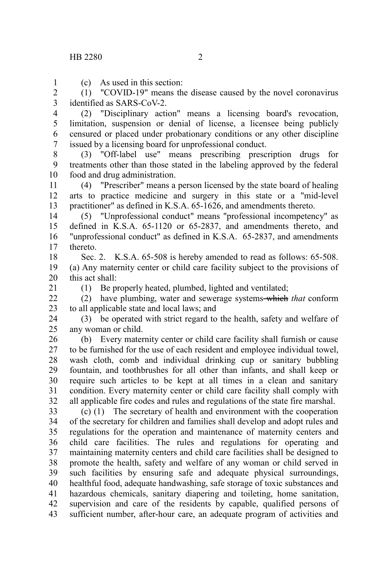1

21

(c) As used in this section:

(1) "COVID-19" means the disease caused by the novel coronavirus identified as SARS-CoV-2. 2 3

(2) "Disciplinary action" means a licensing board's revocation, limitation, suspension or denial of license, a licensee being publicly censured or placed under probationary conditions or any other discipline issued by a licensing board for unprofessional conduct. 4 5 6 7

(3) "Off-label use" means prescribing prescription drugs for treatments other than those stated in the labeling approved by the federal food and drug administration. 8 9 10

(4) "Prescriber" means a person licensed by the state board of healing arts to practice medicine and surgery in this state or a "mid-level practitioner" as defined in K.S.A. 65-1626, and amendments thereto. 11 12 13

(5) "Unprofessional conduct" means "professional incompetency" as defined in K.S.A. 65-1120 or 65-2837, and amendments thereto, and "unprofessional conduct" as defined in K.S.A. 65-2837, and amendments thereto. 14 15 16 17

Sec. 2. K.S.A. 65-508 is hereby amended to read as follows: 65-508. (a) Any maternity center or child care facility subject to the provisions of this act shall: 18 19 20

(1) Be properly heated, plumbed, lighted and ventilated;

(2) have plumbing, water and sewerage systems which *that* conform to all applicable state and local laws; and  $22$ 23

(3) be operated with strict regard to the health, safety and welfare of any woman or child. 24 25

(b) Every maternity center or child care facility shall furnish or cause to be furnished for the use of each resident and employee individual towel, wash cloth, comb and individual drinking cup or sanitary bubbling fountain, and toothbrushes for all other than infants, and shall keep or require such articles to be kept at all times in a clean and sanitary condition. Every maternity center or child care facility shall comply with all applicable fire codes and rules and regulations of the state fire marshal. 26 27 28 29 30 31 32

(c) (1) The secretary of health and environment with the cooperation of the secretary for children and families shall develop and adopt rules and regulations for the operation and maintenance of maternity centers and child care facilities. The rules and regulations for operating and maintaining maternity centers and child care facilities shall be designed to promote the health, safety and welfare of any woman or child served in such facilities by ensuring safe and adequate physical surroundings, healthful food, adequate handwashing, safe storage of toxic substances and hazardous chemicals, sanitary diapering and toileting, home sanitation, supervision and care of the residents by capable, qualified persons of sufficient number, after-hour care, an adequate program of activities and 33 34 35 36 37 38 39 40 41 42 43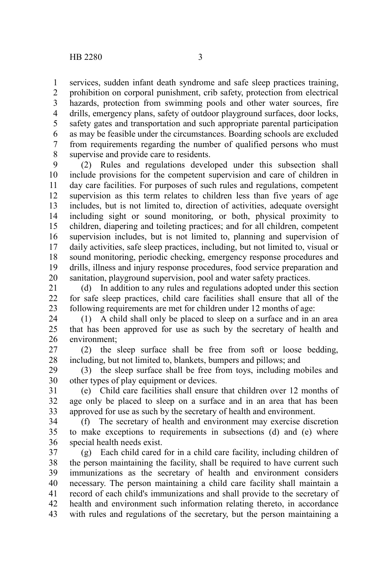services, sudden infant death syndrome and safe sleep practices training, prohibition on corporal punishment, crib safety, protection from electrical hazards, protection from swimming pools and other water sources, fire drills, emergency plans, safety of outdoor playground surfaces, door locks, safety gates and transportation and such appropriate parental participation as may be feasible under the circumstances. Boarding schools are excluded from requirements regarding the number of qualified persons who must supervise and provide care to residents. 1 2 3 4 5 6 7 8

(2) Rules and regulations developed under this subsection shall include provisions for the competent supervision and care of children in day care facilities. For purposes of such rules and regulations, competent supervision as this term relates to children less than five years of age includes, but is not limited to, direction of activities, adequate oversight including sight or sound monitoring, or both, physical proximity to children, diapering and toileting practices; and for all children, competent supervision includes, but is not limited to, planning and supervision of daily activities, safe sleep practices, including, but not limited to, visual or sound monitoring, periodic checking, emergency response procedures and drills, illness and injury response procedures, food service preparation and sanitation, playground supervision, pool and water safety practices. 9 10 11 12 13 14 15 16 17 18 19 20

(d) In addition to any rules and regulations adopted under this section for safe sleep practices, child care facilities shall ensure that all of the following requirements are met for children under 12 months of age: 21 22 23

(1) A child shall only be placed to sleep on a surface and in an area that has been approved for use as such by the secretary of health and environment; 24 25 26

(2) the sleep surface shall be free from soft or loose bedding, including, but not limited to, blankets, bumpers and pillows; and 27 28

(3) the sleep surface shall be free from toys, including mobiles and other types of play equipment or devices. 29 30

(e) Child care facilities shall ensure that children over 12 months of age only be placed to sleep on a surface and in an area that has been approved for use as such by the secretary of health and environment. 31 32 33

(f) The secretary of health and environment may exercise discretion to make exceptions to requirements in subsections (d) and (e) where special health needs exist. 34 35 36

(g) Each child cared for in a child care facility, including children of the person maintaining the facility, shall be required to have current such immunizations as the secretary of health and environment considers necessary. The person maintaining a child care facility shall maintain a record of each child's immunizations and shall provide to the secretary of health and environment such information relating thereto, in accordance with rules and regulations of the secretary, but the person maintaining a 37 38 39 40 41 42 43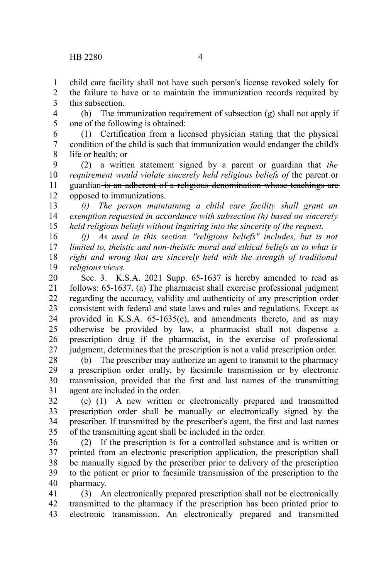child care facility shall not have such person's license revoked solely for the failure to have or to maintain the immunization records required by this subsection. 1  $\mathcal{L}$ 3

(h) The immunization requirement of subsection (g) shall not apply if one of the following is obtained: 4 5

(1) Certification from a licensed physician stating that the physical condition of the child is such that immunization would endanger the child's life or health; or 6 7 8

(2) a written statement signed by a parent or guardian that *the requirement would violate sincerely held religious beliefs of* the parent or guardian is an adherent of a religious denomination whose teachings are opposed to immunizations. 9 10 11 12

*(i) The person maintaining a child care facility shall grant an exemption requested in accordance with subsection (h) based on sincerely held religious beliefs without inquiring into the sincerity of the request.* 13 14 15

*(j) As used in this section, "religious beliefs" includes, but is not limited to, theistic and non-theistic moral and ethical beliefs as to what is right and wrong that are sincerely held with the strength of traditional religious views.* 16 17 18 19

Sec. 3. K.S.A. 2021 Supp. 65-1637 is hereby amended to read as follows: 65-1637. (a) The pharmacist shall exercise professional judgment regarding the accuracy, validity and authenticity of any prescription order consistent with federal and state laws and rules and regulations. Except as provided in K.S.A. 65-1635(e), and amendments thereto, and as may otherwise be provided by law, a pharmacist shall not dispense a prescription drug if the pharmacist, in the exercise of professional judgment, determines that the prescription is not a valid prescription order. 20 21 22 23 24 25 26 27

(b) The prescriber may authorize an agent to transmit to the pharmacy a prescription order orally, by facsimile transmission or by electronic transmission, provided that the first and last names of the transmitting agent are included in the order. 28 29 30 31

(c) (1) A new written or electronically prepared and transmitted prescription order shall be manually or electronically signed by the prescriber. If transmitted by the prescriber's agent, the first and last names of the transmitting agent shall be included in the order. 32 33 34 35

(2) If the prescription is for a controlled substance and is written or printed from an electronic prescription application, the prescription shall be manually signed by the prescriber prior to delivery of the prescription to the patient or prior to facsimile transmission of the prescription to the pharmacy. 36 37 38 39 40

(3) An electronically prepared prescription shall not be electronically transmitted to the pharmacy if the prescription has been printed prior to electronic transmission. An electronically prepared and transmitted 41 42 43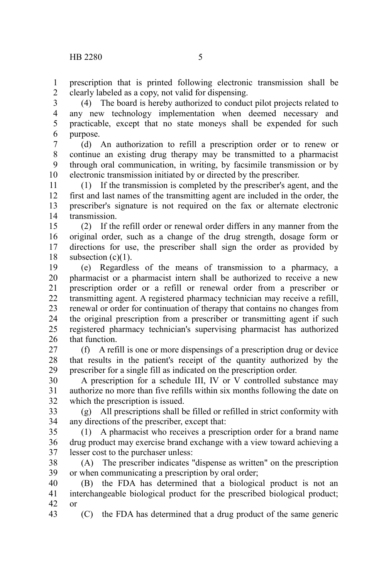prescription that is printed following electronic transmission shall be clearly labeled as a copy, not valid for dispensing. 1 2

(4) The board is hereby authorized to conduct pilot projects related to any new technology implementation when deemed necessary and practicable, except that no state moneys shall be expended for such purpose. 3 4 5 6

(d) An authorization to refill a prescription order or to renew or continue an existing drug therapy may be transmitted to a pharmacist through oral communication, in writing, by facsimile transmission or by electronic transmission initiated by or directed by the prescriber. 7 8 9 10

(1) If the transmission is completed by the prescriber's agent, and the first and last names of the transmitting agent are included in the order, the prescriber's signature is not required on the fax or alternate electronic transmission. 11 12 13 14

(2) If the refill order or renewal order differs in any manner from the original order, such as a change of the drug strength, dosage form or directions for use, the prescriber shall sign the order as provided by subsection  $(c)(1)$ . 15 16 17 18

(e) Regardless of the means of transmission to a pharmacy, a pharmacist or a pharmacist intern shall be authorized to receive a new prescription order or a refill or renewal order from a prescriber or transmitting agent. A registered pharmacy technician may receive a refill, renewal or order for continuation of therapy that contains no changes from the original prescription from a prescriber or transmitting agent if such registered pharmacy technician's supervising pharmacist has authorized that function. 19 20 21 22 23 24 25 26

(f) A refill is one or more dispensings of a prescription drug or device that results in the patient's receipt of the quantity authorized by the prescriber for a single fill as indicated on the prescription order. 27 28 29

A prescription for a schedule III, IV or V controlled substance may authorize no more than five refills within six months following the date on which the prescription is issued. 30 31 32

(g) All prescriptions shall be filled or refilled in strict conformity with any directions of the prescriber, except that: 33 34

(1) A pharmacist who receives a prescription order for a brand name drug product may exercise brand exchange with a view toward achieving a lesser cost to the purchaser unless: 35 36 37

(A) The prescriber indicates "dispense as written" on the prescription or when communicating a prescription by oral order; 38 39

(B) the FDA has determined that a biological product is not an interchangeable biological product for the prescribed biological product; or 40 41 42

(C) the FDA has determined that a drug product of the same generic 43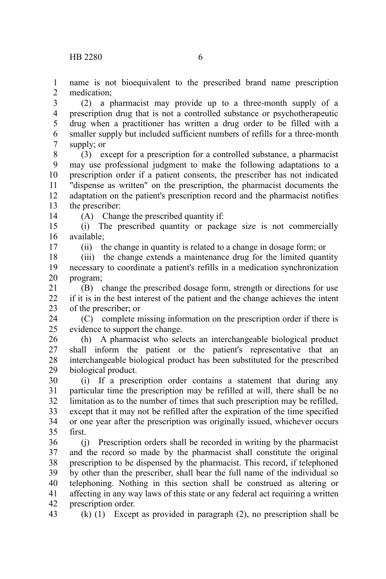name is not bioequivalent to the prescribed brand name prescription medication; 1 2

(2) a pharmacist may provide up to a three-month supply of a prescription drug that is not a controlled substance or psychotherapeutic drug when a practitioner has written a drug order to be filled with a smaller supply but included sufficient numbers of refills for a three-month supply; or 3 4 5 6 7

(3) except for a prescription for a controlled substance, a pharmacist may use professional judgment to make the following adaptations to a prescription order if a patient consents, the prescriber has not indicated "dispense as written" on the prescription, the pharmacist documents the adaptation on the patient's prescription record and the pharmacist notifies the prescriber: 8 9 10 11 12 13

(A) Change the prescribed quantity if:

(i) The prescribed quantity or package size is not commercially available; 15 16

(ii) the change in quantity is related to a change in dosage form; or

(iii) the change extends a maintenance drug for the limited quantity necessary to coordinate a patient's refills in a medication synchronization program; 18 19 20

(B) change the prescribed dosage form, strength or directions for use if it is in the best interest of the patient and the change achieves the intent of the prescriber; or 21 22 23

(C) complete missing information on the prescription order if there is evidence to support the change. 24 25

(h) A pharmacist who selects an interchangeable biological product shall inform the patient or the patient's representative that an interchangeable biological product has been substituted for the prescribed biological product. 26 27 28 29

(i) If a prescription order contains a statement that during any particular time the prescription may be refilled at will, there shall be no limitation as to the number of times that such prescription may be refilled, except that it may not be refilled after the expiration of the time specified or one year after the prescription was originally issued, whichever occurs first. 30 31 32 33 34 35

(j) Prescription orders shall be recorded in writing by the pharmacist and the record so made by the pharmacist shall constitute the original prescription to be dispensed by the pharmacist. This record, if telephoned by other than the prescriber, shall bear the full name of the individual so telephoning. Nothing in this section shall be construed as altering or affecting in any way laws of this state or any federal act requiring a written prescription order. 36 37 38 39 40 41 42

43

14

17

(k) (1) Except as provided in paragraph (2), no prescription shall be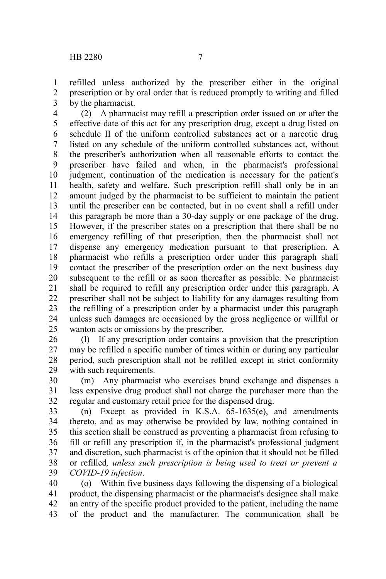refilled unless authorized by the prescriber either in the original prescription or by oral order that is reduced promptly to writing and filled by the pharmacist. 1 2 3

(2) A pharmacist may refill a prescription order issued on or after the effective date of this act for any prescription drug, except a drug listed on schedule II of the uniform controlled substances act or a narcotic drug listed on any schedule of the uniform controlled substances act, without the prescriber's authorization when all reasonable efforts to contact the prescriber have failed and when, in the pharmacist's professional judgment, continuation of the medication is necessary for the patient's health, safety and welfare. Such prescription refill shall only be in an amount judged by the pharmacist to be sufficient to maintain the patient until the prescriber can be contacted, but in no event shall a refill under this paragraph be more than a 30-day supply or one package of the drug. However, if the prescriber states on a prescription that there shall be no emergency refilling of that prescription, then the pharmacist shall not dispense any emergency medication pursuant to that prescription. A pharmacist who refills a prescription order under this paragraph shall contact the prescriber of the prescription order on the next business day subsequent to the refill or as soon thereafter as possible. No pharmacist shall be required to refill any prescription order under this paragraph. A prescriber shall not be subject to liability for any damages resulting from the refilling of a prescription order by a pharmacist under this paragraph unless such damages are occasioned by the gross negligence or willful or wanton acts or omissions by the prescriber. 4 5 6 7 8 9 10 11 12 13 14 15 16 17 18 19 20 21 22 23 24 25

(l) If any prescription order contains a provision that the prescription may be refilled a specific number of times within or during any particular period, such prescription shall not be refilled except in strict conformity with such requirements. 26 27 28 29

(m) Any pharmacist who exercises brand exchange and dispenses a less expensive drug product shall not charge the purchaser more than the regular and customary retail price for the dispensed drug. 30 31 32

(n) Except as provided in K.S.A. 65-1635(e), and amendments thereto, and as may otherwise be provided by law, nothing contained in this section shall be construed as preventing a pharmacist from refusing to fill or refill any prescription if, in the pharmacist's professional judgment and discretion, such pharmacist is of the opinion that it should not be filled or refilled*, unless such prescription is being used to treat or prevent a COVID-19 infection*. 33 34 35 36 37 38 39

(o) Within five business days following the dispensing of a biological product, the dispensing pharmacist or the pharmacist's designee shall make an entry of the specific product provided to the patient, including the name of the product and the manufacturer. The communication shall be 40 41 42 43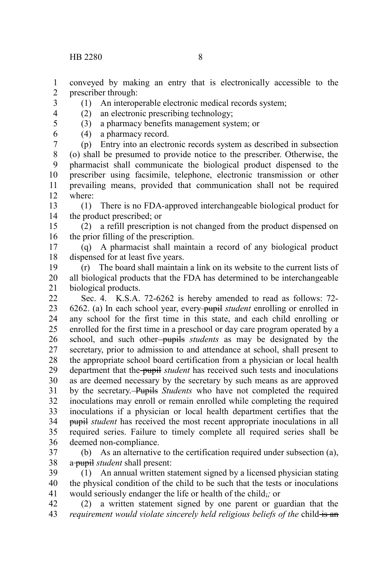conveyed by making an entry that is electronically accessible to the prescriber through: 1 2

- (1) An interoperable electronic medical records system;
- (2) an electronic prescribing technology;
- (3) a pharmacy benefits management system; or
- (4) a pharmacy record.

(p) Entry into an electronic records system as described in subsection (o) shall be presumed to provide notice to the prescriber. Otherwise, the pharmacist shall communicate the biological product dispensed to the prescriber using facsimile, telephone, electronic transmission or other prevailing means, provided that communication shall not be required where: 7 8 9 10 11 12

(1) There is no FDA-approved interchangeable biological product for the product prescribed; or 13 14

(2) a refill prescription is not changed from the product dispensed on the prior filling of the prescription. 15 16

(q) A pharmacist shall maintain a record of any biological product dispensed for at least five years. 17 18

(r) The board shall maintain a link on its website to the current lists of all biological products that the FDA has determined to be interchangeable biological products. 19 20 21

Sec. 4. K.S.A. 72-6262 is hereby amended to read as follows: 72- 6262. (a) In each school year, every pupil *student* enrolling or enrolled in any school for the first time in this state, and each child enrolling or enrolled for the first time in a preschool or day care program operated by a school, and such other-pupils *students* as may be designated by the secretary, prior to admission to and attendance at school, shall present to the appropriate school board certification from a physician or local health department that the pupil *student* has received such tests and inoculations as are deemed necessary by the secretary by such means as are approved by the secretary. Pupils *Students* who have not completed the required inoculations may enroll or remain enrolled while completing the required inoculations if a physician or local health department certifies that the pupil *student* has received the most recent appropriate inoculations in all required series. Failure to timely complete all required series shall be deemed non-compliance. 22 23 24 25 26 27 28 29 30 31 32 33 34 35 36

(b) As an alternative to the certification required under subsection (a), a pupil *student* shall present: 37 38

(1) An annual written statement signed by a licensed physician stating the physical condition of the child to be such that the tests or inoculations would seriously endanger the life or health of the child,*;* or 39 40 41

(2) a written statement signed by one parent or guardian that the *requirement would violate sincerely held religious beliefs of the child is an* 42 43